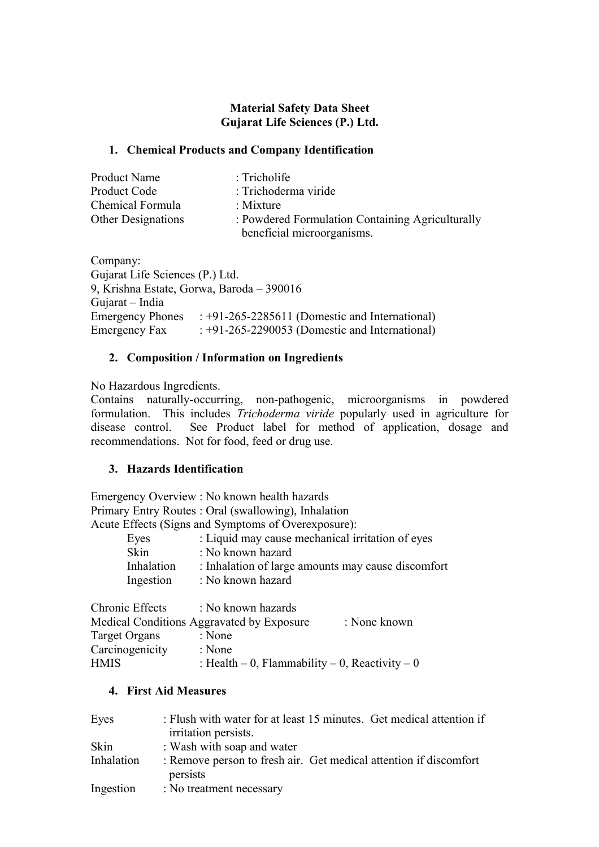### **Material Safety Data Sheet Gujarat Life Sciences (P.) Ltd.**

#### **1. Chemical Products and Company Identification**

| Product Name              | $:$ Tricholife                                   |
|---------------------------|--------------------------------------------------|
| Product Code              | : Trichoderma viride                             |
| Chemical Formula          | : Mixture                                        |
| <b>Other Designations</b> | : Powdered Formulation Containing Agriculturally |
|                           | beneficial microorganisms.                       |

Company: Gujarat Life Sciences (P.) Ltd. 9, Krishna Estate, Gorwa, Baroda – 390016 Gujarat – India Emergency Phones : +91-265-2285611 (Domestic and International) Emergency Fax : +91-265-2290053 (Domestic and International)

### **2. Composition / Information on Ingredients**

No Hazardous Ingredients.

Contains naturally-occurring, non-pathogenic, microorganisms in powdered formulation. This includes *Trichoderma viride* popularly used in agriculture for disease control. See Product label for method of application, dosage and recommendations. Not for food, feed or drug use.

### **3. Hazards Identification**

Emergency Overview : No known health hazards Primary Entry Routes : Oral (swallowing), Inhalation Acute Effects (Signs and Symptoms of Overexposure):

| : Liquid may cause mechanical irritation of eyes                 |
|------------------------------------------------------------------|
| : No known hazard                                                |
| : Inhalation of large amounts may cause discomfort<br>Inhalation |
| : No known hazard<br>Ingestion                                   |
|                                                                  |

| Chronic Effects | : No known hazards                             |              |
|-----------------|------------------------------------------------|--------------|
|                 | Medical Conditions Aggravated by Exposure      | : None known |
| Target Organs   | : None                                         |              |
| Carcinogenicity | : None                                         |              |
| <b>HMIS</b>     | : Health – 0, Flammability – 0, Reactivity – 0 |              |

### **4. First Aid Measures**

| Eyes       | : Flush with water for at least 15 minutes. Get medical attention if<br>irritation persists. |
|------------|----------------------------------------------------------------------------------------------|
| Skin       | : Wash with soap and water                                                                   |
|            |                                                                                              |
| Inhalation | : Remove person to fresh air. Get medical attention if discomfort<br>persists                |
| Ingestion  | : No treatment necessary                                                                     |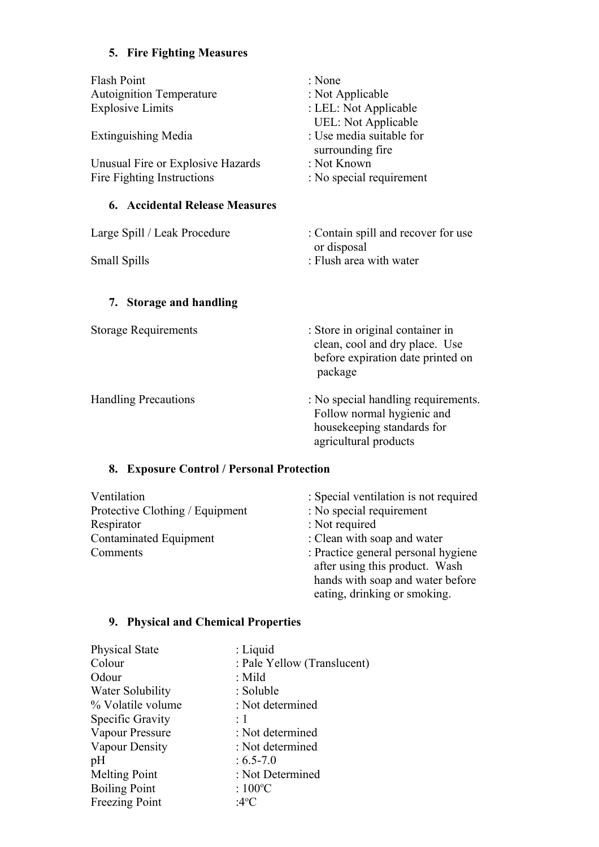# **5. Fire Fighting Measures**

| <b>Flash Point</b><br><b>Autoignition Temperature</b><br><b>Explosive Limits</b><br><b>Extinguishing Media</b><br>Unusual Fire or Explosive Hazards<br>Fire Fighting Instructions | : None<br>: Not Applicable<br>: LEL: Not Applicable<br><b>UEL:</b> Not Applicable<br>: Use media suitable for<br>surrounding fire<br>: Not Known<br>: No special requirement |
|-----------------------------------------------------------------------------------------------------------------------------------------------------------------------------------|------------------------------------------------------------------------------------------------------------------------------------------------------------------------------|
| <b>6. Accidental Release Measures</b>                                                                                                                                             |                                                                                                                                                                              |
| Large Spill / Leak Procedure<br><b>Small Spills</b>                                                                                                                               | : Contain spill and recover for use<br>or disposal<br>: Flush area with water                                                                                                |
| 7. Storage and handling                                                                                                                                                           |                                                                                                                                                                              |
| <b>Storage Requirements</b>                                                                                                                                                       | : Store in original container in<br>clean, cool and dry place. Use<br>before expiration date printed on<br>package                                                           |
| <b>Handling Precautions</b>                                                                                                                                                       | : No special handling requirements.<br>Follow normal hygienic and<br>housekeeping standards for<br>agricultural products                                                     |

## **8. Exposure Control / Personal Protection**

| Ventilation                     | : Special ventilation is not required                                                                                                     |
|---------------------------------|-------------------------------------------------------------------------------------------------------------------------------------------|
| Protective Clothing / Equipment | : No special requirement                                                                                                                  |
| Respirator                      | : Not required                                                                                                                            |
| <b>Contaminated Equipment</b>   | : Clean with soap and water                                                                                                               |
| Comments                        | : Practice general personal hygiene<br>after using this product. Wash<br>hands with soap and water before<br>eating, drinking or smoking. |

# **9. Physical and Chemical Properties**

| <b>Physical State</b> | $:$ Liquid                  |
|-----------------------|-----------------------------|
| Colour                | : Pale Yellow (Translucent) |
| Odour                 | : Mild                      |
| Water Solubility      | : Soluble                   |
| % Volatile volume     | : Not determined            |
| Specific Gravity      | : 1                         |
| Vapour Pressure       | : Not determined            |
| Vapour Density        | : Not determined            |
| pH                    | $: 6.5 - 7.0$               |
| <b>Melting Point</b>  | : Not Determined            |
| <b>Boiling Point</b>  | : $100^{\circ}$ C           |
| Freezing Point        | :4°C                        |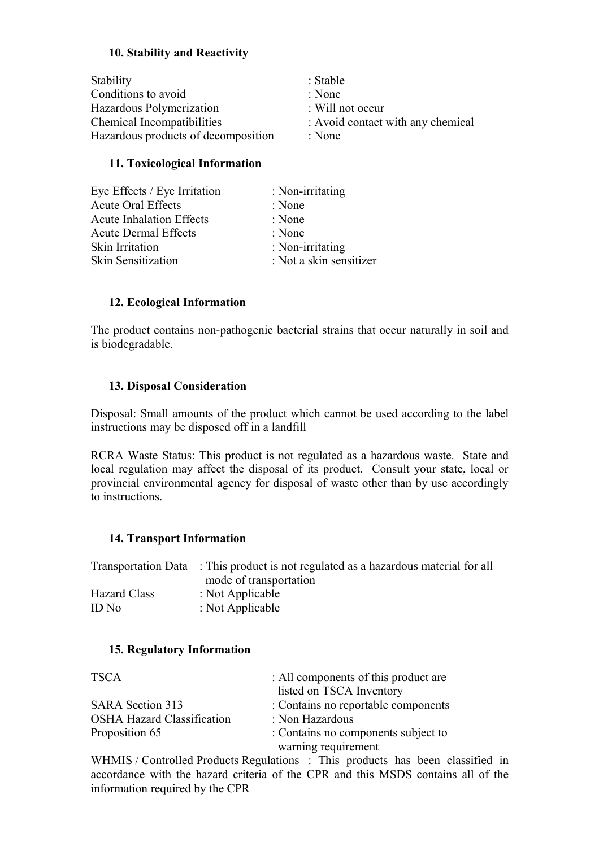### **10. Stability and Reactivity**

| Stability                           | : Stable                          |
|-------------------------------------|-----------------------------------|
| Conditions to avoid                 | : None                            |
| Hazardous Polymerization            | $\therefore$ Will not occur       |
| Chemical Incompatibilities          | : Avoid contact with any chemical |
| Hazardous products of decomposition | : None                            |

#### **11. Toxicological Information**

| Eye Effects / Eye Irritation    | : Non-irritating        |
|---------------------------------|-------------------------|
| <b>Acute Oral Effects</b>       | : None                  |
| <b>Acute Inhalation Effects</b> | : None                  |
| <b>Acute Dermal Effects</b>     | : None                  |
| Skin Irritation                 | : Non-irritating        |
| <b>Skin Sensitization</b>       | : Not a skin sensitizer |

## **12. Ecological Information**

The product contains non-pathogenic bacterial strains that occur naturally in soil and is biodegradable.

#### **13. Disposal Consideration**

Disposal: Small amounts of the product which cannot be used according to the label instructions may be disposed off in a landfill

RCRA Waste Status: This product is not regulated as a hazardous waste. State and local regulation may affect the disposal of its product. Consult your state, local or provincial environmental agency for disposal of waste other than by use accordingly to instructions.

#### **14. Transport Information**

|              | Transportation Data : This product is not regulated as a hazardous material for all |
|--------------|-------------------------------------------------------------------------------------|
|              | mode of transportation                                                              |
| Hazard Class | : Not Applicable                                                                    |
| ID No        | : Not Applicable                                                                    |

#### **15. Regulatory Information**

| <b>TSCA</b>                       | : All components of this product are |
|-----------------------------------|--------------------------------------|
|                                   | listed on TSCA Inventory             |
| <b>SARA Section 313</b>           | : Contains no reportable components  |
| <b>OSHA Hazard Classification</b> | : Non Hazardous                      |
| Proposition 65                    | : Contains no components subject to  |
|                                   | warning requirement                  |

WHMIS / Controlled Products Regulations : This products has been classified in accordance with the hazard criteria of the CPR and this MSDS contains all of the information required by the CPR